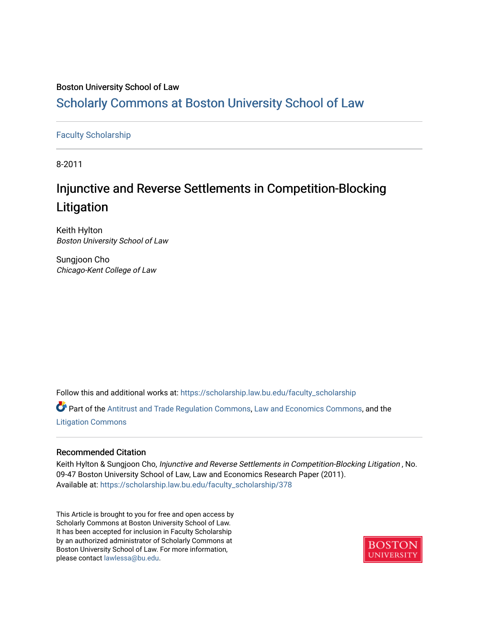## Boston University School of Law

## [Scholarly Commons at Boston University School of Law](https://scholarship.law.bu.edu/)

## [Faculty Scholarship](https://scholarship.law.bu.edu/faculty_scholarship)

8-2011

# Injunctive and Reverse Settlements in Competition-Blocking Litigation

Keith Hylton Boston University School of Law

Sungjoon Cho Chicago-Kent College of Law

Follow this and additional works at: [https://scholarship.law.bu.edu/faculty\\_scholarship](https://scholarship.law.bu.edu/faculty_scholarship?utm_source=scholarship.law.bu.edu%2Ffaculty_scholarship%2F378&utm_medium=PDF&utm_campaign=PDFCoverPages)

Part of the [Antitrust and Trade Regulation Commons,](https://network.bepress.com/hgg/discipline/911?utm_source=scholarship.law.bu.edu%2Ffaculty_scholarship%2F378&utm_medium=PDF&utm_campaign=PDFCoverPages) [Law and Economics Commons,](https://network.bepress.com/hgg/discipline/612?utm_source=scholarship.law.bu.edu%2Ffaculty_scholarship%2F378&utm_medium=PDF&utm_campaign=PDFCoverPages) and the [Litigation Commons](https://network.bepress.com/hgg/discipline/910?utm_source=scholarship.law.bu.edu%2Ffaculty_scholarship%2F378&utm_medium=PDF&utm_campaign=PDFCoverPages) 

## Recommended Citation

Keith Hylton & Sungjoon Cho, Injunctive and Reverse Settlements in Competition-Blocking Litigation , No. 09-47 Boston University School of Law, Law and Economics Research Paper (2011). Available at: [https://scholarship.law.bu.edu/faculty\\_scholarship/378](https://scholarship.law.bu.edu/faculty_scholarship/378?utm_source=scholarship.law.bu.edu%2Ffaculty_scholarship%2F378&utm_medium=PDF&utm_campaign=PDFCoverPages) 

This Article is brought to you for free and open access by Scholarly Commons at Boston University School of Law. It has been accepted for inclusion in Faculty Scholarship by an authorized administrator of Scholarly Commons at Boston University School of Law. For more information, please contact [lawlessa@bu.edu](mailto:lawlessa@bu.edu).

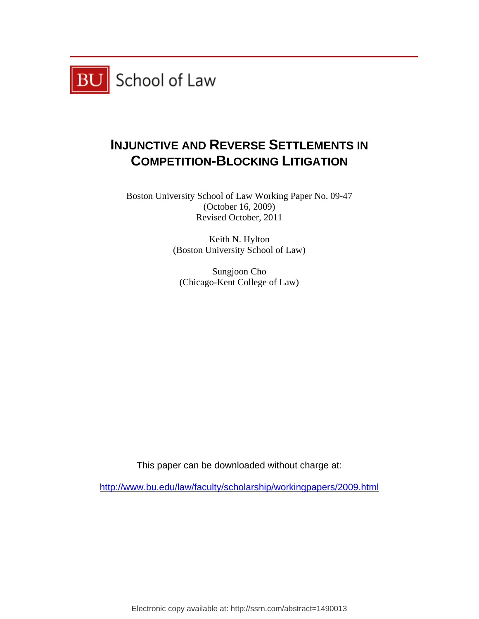

## **INJUNCTIVE AND REVERSE SETTLEMENTS IN COMPETITION-BLOCKING LITIGATION**

Boston University School of Law Working Paper No. 09-47 (October 16, 2009) Revised October, 2011

> Keith N. Hylton (Boston University School of Law)

Sungjoon Cho (Chicago-Kent College of Law)

This paper can be downloaded without charge at:

http://www.bu.edu/law/faculty/scholarship/workingpapers/2009.html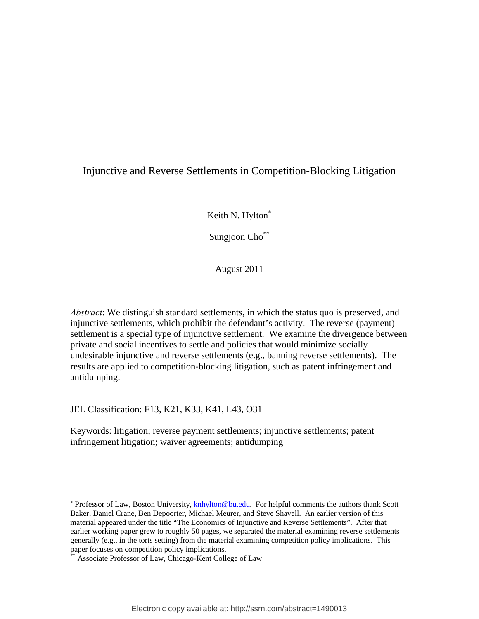## Injunctive and Reverse Settlements in Competition-Blocking Litigation

Keith N. Hylton

Sungjoon Cho<sup>\*\*</sup>

August 2011

*Abstract*: We distinguish standard settlements, in which the status quo is preserved, and injunctive settlements, which prohibit the defendant's activity. The reverse (payment) settlement is a special type of injunctive settlement. We examine the divergence between private and social incentives to settle and policies that would minimize socially undesirable injunctive and reverse settlements (e.g., banning reverse settlements). The results are applied to competition-blocking litigation, such as patent infringement and antidumping.

JEL Classification: F13, K21, K33, K41, L43, O31

Keywords: litigation; reverse payment settlements; injunctive settlements; patent infringement litigation; waiver agreements; antidumping

<sup>\*</sup> Professor of Law, Boston University, **knhylton@bu.edu.** For helpful comments the authors thank Scott Baker, Daniel Crane, Ben Depoorter, Michael Meurer, and Steve Shavell. An earlier version of this material appeared under the title "The Economics of Injunctive and Reverse Settlements". After that earlier working paper grew to roughly 50 pages, we separated the material examining reverse settlements generally (e.g., in the torts setting) from the material examining competition policy implications. This paper focuses on competition policy implications.

Associate Professor of Law, Chicago-Kent College of Law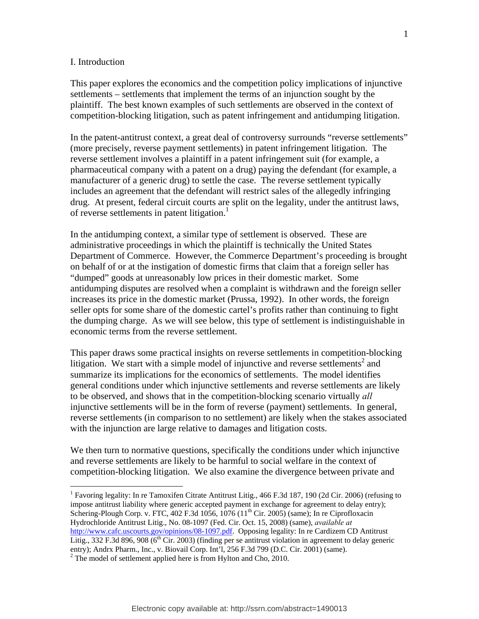## I. Introduction

 $\overline{a}$ 

This paper explores the economics and the competition policy implications of injunctive settlements – settlements that implement the terms of an injunction sought by the plaintiff. The best known examples of such settlements are observed in the context of competition-blocking litigation, such as patent infringement and antidumping litigation.

In the patent-antitrust context, a great deal of controversy surrounds "reverse settlements" (more precisely, reverse payment settlements) in patent infringement litigation. The reverse settlement involves a plaintiff in a patent infringement suit (for example, a pharmaceutical company with a patent on a drug) paying the defendant (for example, a manufacturer of a generic drug) to settle the case. The reverse settlement typically includes an agreement that the defendant will restrict sales of the allegedly infringing drug. At present, federal circuit courts are split on the legality, under the antitrust laws, of reverse settlements in patent litigation.<sup>1</sup>

In the antidumping context, a similar type of settlement is observed. These are administrative proceedings in which the plaintiff is technically the United States Department of Commerce. However, the Commerce Department's proceeding is brought on behalf of or at the instigation of domestic firms that claim that a foreign seller has "dumped" goods at unreasonably low prices in their domestic market. Some antidumping disputes are resolved when a complaint is withdrawn and the foreign seller increases its price in the domestic market (Prussa, 1992). In other words, the foreign seller opts for some share of the domestic cartel's profits rather than continuing to fight the dumping charge. As we will see below, this type of settlement is indistinguishable in economic terms from the reverse settlement.

This paper draws some practical insights on reverse settlements in competition-blocking litigation. We start with a simple model of injunctive and reverse settlements<sup>2</sup> and summarize its implications for the economics of settlements. The model identifies general conditions under which injunctive settlements and reverse settlements are likely to be observed, and shows that in the competition-blocking scenario virtually *all* injunctive settlements will be in the form of reverse (payment) settlements. In general, reverse settlements (in comparison to no settlement) are likely when the stakes associated with the injunction are large relative to damages and litigation costs.

We then turn to normative questions, specifically the conditions under which injunctive and reverse settlements are likely to be harmful to social welfare in the context of competition-blocking litigation. We also examine the divergence between private and

<sup>&</sup>lt;sup>1</sup> Favoring legality: In re Tamoxifen Citrate Antitrust Litig., 466 F.3d 187, 190 (2d Cir. 2006) (refusing to impose antitrust liability where generic accepted payment in exchange for agreement to delay entry); Schering-Plough Corp. v. FTC,  $402$  F.3d  $1056$ ,  $1076$   $(11<sup>th</sup>$  Cir. 2005) (same); In re Ciprofloxacin Hydrochloride Antitrust Litig., No. 08-1097 (Fed. Cir. Oct. 15, 2008) (same), *available at*  http://www.cafc.uscourts.gov/opinions/08-1097.pdf. Opposing legality: In re Cardizem CD Antitrust Litig., 332 F.3d 896, 908 ( $6<sup>th</sup>$  Cir. 2003) (finding per se antitrust violation in agreement to delay generic entry); Andrx Pharm., Inc., v. Biovail Corp. Int'l, 256 F.3d 799 (D.C. Cir. 2001) (same).

 $2^2$  The model of settlement applied here is from Hylton and Cho, 2010.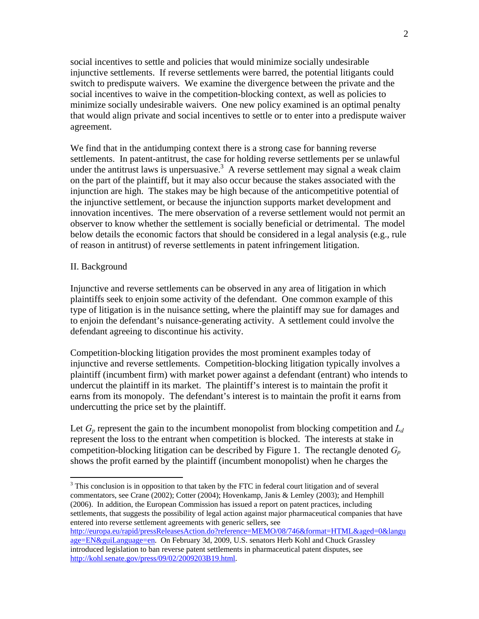social incentives to settle and policies that would minimize socially undesirable injunctive settlements. If reverse settlements were barred, the potential litigants could switch to predispute waivers. We examine the divergence between the private and the social incentives to waive in the competition-blocking context, as well as policies to minimize socially undesirable waivers. One new policy examined is an optimal penalty that would align private and social incentives to settle or to enter into a predispute waiver agreement.

We find that in the antidumping context there is a strong case for banning reverse settlements. In patent-antitrust, the case for holding reverse settlements per se unlawful under the antitrust laws is unpersuasive.<sup>3</sup> A reverse settlement may signal a weak claim on the part of the plaintiff, but it may also occur because the stakes associated with the injunction are high. The stakes may be high because of the anticompetitive potential of the injunctive settlement, or because the injunction supports market development and innovation incentives. The mere observation of a reverse settlement would not permit an observer to know whether the settlement is socially beneficial or detrimental. The model below details the economic factors that should be considered in a legal analysis (e.g., rule of reason in antitrust) of reverse settlements in patent infringement litigation.

## II. Background

1

Injunctive and reverse settlements can be observed in any area of litigation in which plaintiffs seek to enjoin some activity of the defendant. One common example of this type of litigation is in the nuisance setting, where the plaintiff may sue for damages and to enjoin the defendant's nuisance-generating activity. A settlement could involve the defendant agreeing to discontinue his activity.

Competition-blocking litigation provides the most prominent examples today of injunctive and reverse settlements. Competition-blocking litigation typically involves a plaintiff (incumbent firm) with market power against a defendant (entrant) who intends to undercut the plaintiff in its market. The plaintiff's interest is to maintain the profit it earns from its monopoly. The defendant's interest is to maintain the profit it earns from undercutting the price set by the plaintiff.

Let  $G_p$  represent the gain to the incumbent monopolist from blocking competition and  $L_d$ represent the loss to the entrant when competition is blocked. The interests at stake in competition-blocking litigation can be described by Figure 1. The rectangle denoted  $G_p$ shows the profit earned by the plaintiff (incumbent monopolist) when he charges the

 $3$  This conclusion is in opposition to that taken by the FTC in federal court litigation and of several commentators, see Crane (2002); Cotter (2004); Hovenkamp, Janis & Lemley (2003); and Hemphill (2006). In addition, the European Commission has issued a report on patent practices, including settlements, that suggests the possibility of legal action against major pharmaceutical companies that have entered into reverse settlement agreements with generic sellers, see http://europa.eu/rapid/pressReleasesAction.do?reference=MEMO/08/746&format=HTML&aged=0&langu age=EN&guiLanguage=en. On February 3d, 2009, U.S. senators Herb Kohl and Chuck Grassley introduced legislation to ban reverse patent settlements in pharmaceutical patent disputes, see http://kohl.senate.gov/press/09/02/2009203B19.html.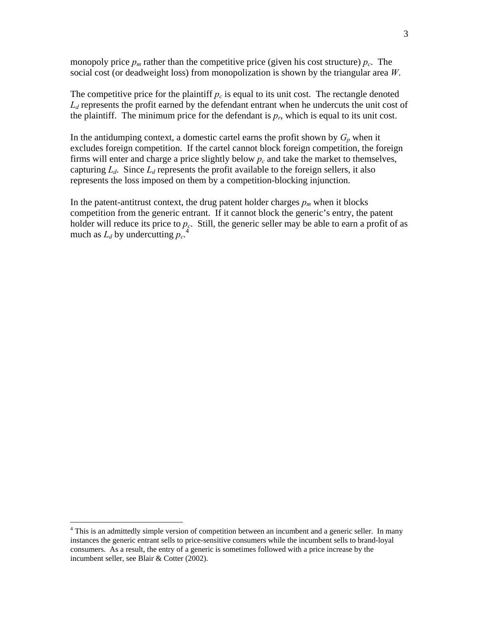monopoly price  $p_m$  rather than the competitive price (given his cost structure)  $p_c$ . The social cost (or deadweight loss) from monopolization is shown by the triangular area *W*.

The competitive price for the plaintiff  $p_c$  is equal to its unit cost. The rectangle denoted *Ld* represents the profit earned by the defendant entrant when he undercuts the unit cost of the plaintiff. The minimum price for the defendant is  $p_r$ , which is equal to its unit cost.

In the antidumping context, a domestic cartel earns the profit shown by  $G_p$  when it excludes foreign competition. If the cartel cannot block foreign competition, the foreign firms will enter and charge a price slightly below  $p_c$  and take the market to themselves, capturing  $L_d$ . Since  $L_d$  represents the profit available to the foreign sellers, it also represents the loss imposed on them by a competition-blocking injunction.

In the patent-antitrust context, the drug patent holder charges  $p_m$  when it blocks competition from the generic entrant. If it cannot block the generic's entry, the patent holder will reduce its price to  $p_c$ . Still, the generic seller may be able to earn a profit of as much as  $L_d$  by undercutting  $p_c^4$ .

<sup>&</sup>lt;sup>4</sup> This is an admittedly simple version of competition between an incumbent and a generic seller. In many instances the generic entrant sells to price-sensitive consumers while the incumbent sells to brand-loyal consumers. As a result, the entry of a generic is sometimes followed with a price increase by the incumbent seller, see Blair & Cotter (2002).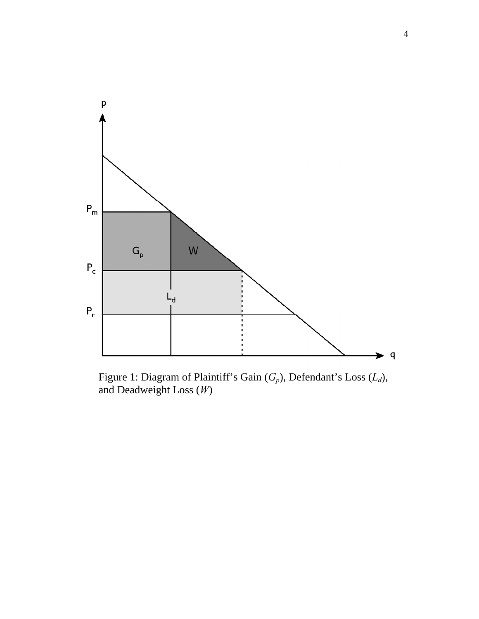

Figure 1: Diagram of Plaintiff's Gain  $(G_p)$ , Defendant's Loss  $(L_d)$ , and Deadweight Loss (*W*)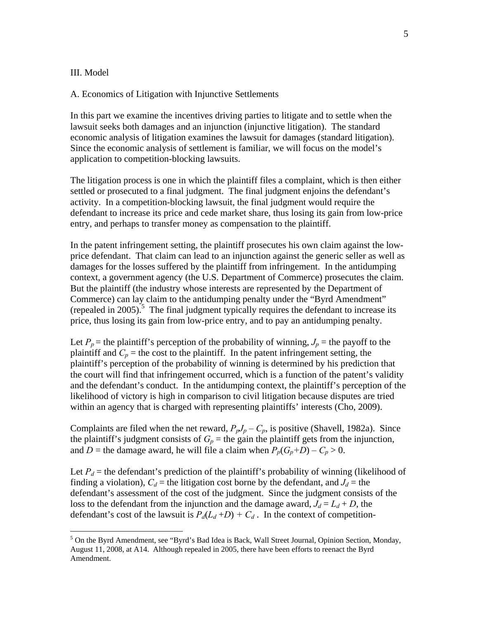#### III. Model

 $\overline{a}$ 

A. Economics of Litigation with Injunctive Settlements

In this part we examine the incentives driving parties to litigate and to settle when the lawsuit seeks both damages and an injunction (injunctive litigation). The standard economic analysis of litigation examines the lawsuit for damages (standard litigation). Since the economic analysis of settlement is familiar, we will focus on the model's application to competition-blocking lawsuits.

The litigation process is one in which the plaintiff files a complaint, which is then either settled or prosecuted to a final judgment. The final judgment enjoins the defendant's activity. In a competition-blocking lawsuit, the final judgment would require the defendant to increase its price and cede market share, thus losing its gain from low-price entry, and perhaps to transfer money as compensation to the plaintiff.

In the patent infringement setting, the plaintiff prosecutes his own claim against the lowprice defendant. That claim can lead to an injunction against the generic seller as well as damages for the losses suffered by the plaintiff from infringement. In the antidumping context, a government agency (the U.S. Department of Commerce) prosecutes the claim. But the plaintiff (the industry whose interests are represented by the Department of Commerce) can lay claim to the antidumping penalty under the "Byrd Amendment" (repealed in 2005).<sup>5</sup> The final judgment typically requires the defendant to increase its price, thus losing its gain from low-price entry, and to pay an antidumping penalty.

Let  $P_p$  = the plaintiff's perception of the probability of winning,  $J_p$  = the payoff to the plaintiff and  $C_p$  = the cost to the plaintiff. In the patent infringement setting, the plaintiff's perception of the probability of winning is determined by his prediction that the court will find that infringement occurred, which is a function of the patent's validity and the defendant's conduct. In the antidumping context, the plaintiff's perception of the likelihood of victory is high in comparison to civil litigation because disputes are tried within an agency that is charged with representing plaintiffs' interests (Cho, 2009).

Complaints are filed when the net reward,  $P_pJ_p - C_p$ , is positive (Shavell, 1982a). Since the plaintiff's judgment consists of  $G_p$  = the gain the plaintiff gets from the injunction, and *D* = the damage award, he will file a claim when  $P_p(G_p+D) - C_p > 0$ .

Let  $P_d$  = the defendant's prediction of the plaintiff's probability of winning (likelihood of finding a violation),  $C_d$  = the litigation cost borne by the defendant, and  $J_d$  = the defendant's assessment of the cost of the judgment. Since the judgment consists of the loss to the defendant from the injunction and the damage award,  $J_d = L_d + D$ , the defendant's cost of the lawsuit is  $P_d(L_d+D) + C_d$ . In the context of competition-

<sup>&</sup>lt;sup>5</sup> On the Byrd Amendment, see "Byrd's Bad Idea is Back, Wall Street Journal, Opinion Section, Monday, August 11, 2008, at A14. Although repealed in 2005, there have been efforts to reenact the Byrd Amendment.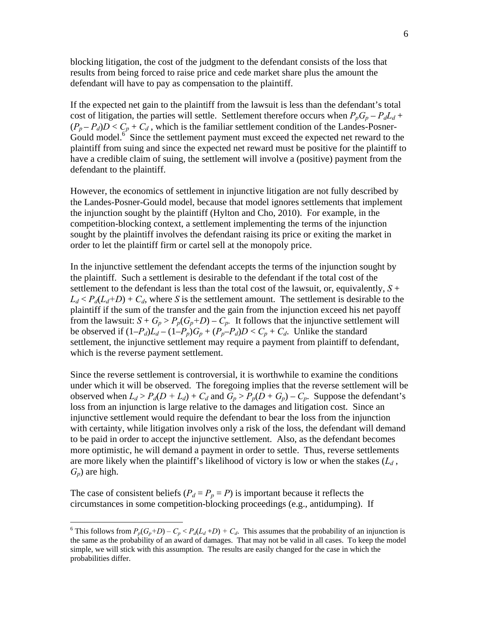blocking litigation, the cost of the judgment to the defendant consists of the loss that results from being forced to raise price and cede market share plus the amount the defendant will have to pay as compensation to the plaintiff.

If the expected net gain to the plaintiff from the lawsuit is less than the defendant's total cost of litigation, the parties will settle. Settlement therefore occurs when  $P_pG_p - P_dL_d +$  $(P_p - P_d)D < C_p + C_d$ , which is the familiar settlement condition of the Landes-Posner-Gould model.<sup>6</sup> Since the settlement payment must exceed the expected net reward to the plaintiff from suing and since the expected net reward must be positive for the plaintiff to have a credible claim of suing, the settlement will involve a (positive) payment from the defendant to the plaintiff.

However, the economics of settlement in injunctive litigation are not fully described by the Landes-Posner-Gould model, because that model ignores settlements that implement the injunction sought by the plaintiff (Hylton and Cho, 2010). For example, in the competition-blocking context, a settlement implementing the terms of the injunction sought by the plaintiff involves the defendant raising its price or exiting the market in order to let the plaintiff firm or cartel sell at the monopoly price.

In the injunctive settlement the defendant accepts the terms of the injunction sought by the plaintiff. Such a settlement is desirable to the defendant if the total cost of the settlement to the defendant is less than the total cost of the lawsuit, or, equivalently,  $S +$  $L_d < P_d(L_d+D) + C_d$ , where *S* is the settlement amount. The settlement is desirable to the plaintiff if the sum of the transfer and the gain from the injunction exceed his net payoff from the lawsuit:  $S + G_p > P_p(G_p + D) - C_p$ . It follows that the injunctive settlement will be observed if  $(1-P_d)L_d - (1-P_p)G_p + (P_p-P_d)D < C_p + C_d$ . Unlike the standard settlement, the injunctive settlement may require a payment from plaintiff to defendant, which is the reverse payment settlement.

Since the reverse settlement is controversial, it is worthwhile to examine the conditions under which it will be observed. The foregoing implies that the reverse settlement will be observed when  $L_d > P_d(D + L_d) + C_d$  and  $G_p > P_p(D + G_p) - C_p$ . Suppose the defendant's loss from an injunction is large relative to the damages and litigation cost. Since an injunctive settlement would require the defendant to bear the loss from the injunction with certainty, while litigation involves only a risk of the loss, the defendant will demand to be paid in order to accept the injunctive settlement. Also, as the defendant becomes more optimistic, he will demand a payment in order to settle. Thus, reverse settlements are more likely when the plaintiff's likelihood of victory is low or when the stakes  $(L_d)$ , *Gp*) are high.

The case of consistent beliefs ( $P_d = P_p = P$ ) is important because it reflects the circumstances in some competition-blocking proceedings (e.g., antidumping). If

<sup>&</sup>lt;sup>6</sup> This follows from  $P_p(G_p+D) - C_p < P_d(L_d+D) + C_d$ . This assumes that the probability of an injunction is the same as the probability of an award of damages. That may not be valid in all cases. To keep the model simple, we will stick with this assumption. The results are easily changed for the case in which the probabilities differ.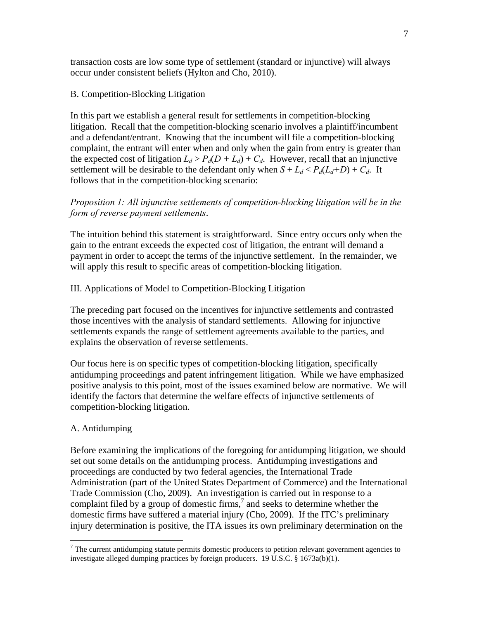transaction costs are low some type of settlement (standard or injunctive) will always occur under consistent beliefs (Hylton and Cho, 2010).

## B. Competition-Blocking Litigation

In this part we establish a general result for settlements in competition-blocking litigation. Recall that the competition-blocking scenario involves a plaintiff/incumbent and a defendant/entrant. Knowing that the incumbent will file a competition-blocking complaint, the entrant will enter when and only when the gain from entry is greater than the expected cost of litigation  $L_d > P_d(D + L_d) + C_d$ . However, recall that an injunctive settlement will be desirable to the defendant only when  $S + L_d < P_d(L_d+D) + C_d$ . It follows that in the competition-blocking scenario:

## *Proposition 1: All injunctive settlements of competition-blocking litigation will be in the form of reverse payment settlements*.

The intuition behind this statement is straightforward. Since entry occurs only when the gain to the entrant exceeds the expected cost of litigation, the entrant will demand a payment in order to accept the terms of the injunctive settlement. In the remainder, we will apply this result to specific areas of competition-blocking litigation.

## III. Applications of Model to Competition-Blocking Litigation

The preceding part focused on the incentives for injunctive settlements and contrasted those incentives with the analysis of standard settlements. Allowing for injunctive settlements expands the range of settlement agreements available to the parties, and explains the observation of reverse settlements.

Our focus here is on specific types of competition-blocking litigation, specifically antidumping proceedings and patent infringement litigation. While we have emphasized positive analysis to this point, most of the issues examined below are normative. We will identify the factors that determine the welfare effects of injunctive settlements of competition-blocking litigation.

#### A. Antidumping

 $\overline{a}$ 

Before examining the implications of the foregoing for antidumping litigation, we should set out some details on the antidumping process. Antidumping investigations and proceedings are conducted by two federal agencies, the International Trade Administration (part of the United States Department of Commerce) and the International Trade Commission (Cho, 2009). An investigation is carried out in response to a complaint filed by a group of domestic firms, $\frac{7}{7}$  and seeks to determine whether the domestic firms have suffered a material injury (Cho, 2009). If the ITC's preliminary injury determination is positive, the ITA issues its own preliminary determination on the

 $7$  The current antidumping statute permits domestic producers to petition relevant government agencies to investigate alleged dumping practices by foreign producers. 19 U.S.C. § 1673a(b)(1).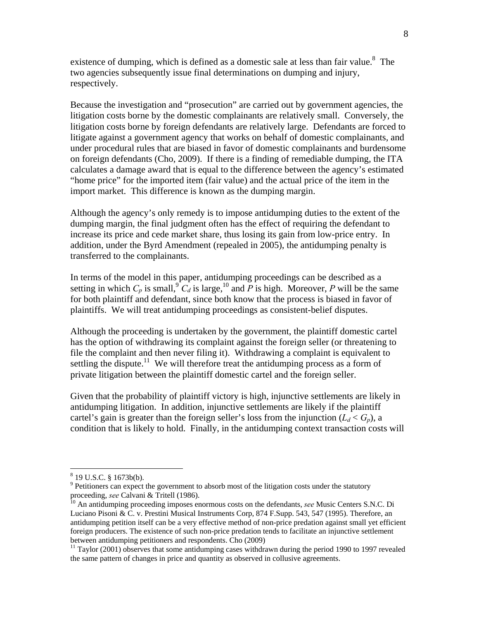existence of dumping, which is defined as a domestic sale at less than fair value.<sup>8</sup> The two agencies subsequently issue final determinations on dumping and injury, respectively.

Because the investigation and "prosecution" are carried out by government agencies, the litigation costs borne by the domestic complainants are relatively small. Conversely, the litigation costs borne by foreign defendants are relatively large. Defendants are forced to litigate against a government agency that works on behalf of domestic complainants, and under procedural rules that are biased in favor of domestic complainants and burdensome on foreign defendants (Cho, 2009). If there is a finding of remediable dumping, the ITA calculates a damage award that is equal to the difference between the agency's estimated "home price" for the imported item (fair value) and the actual price of the item in the import market. This difference is known as the dumping margin.

Although the agency's only remedy is to impose antidumping duties to the extent of the dumping margin, the final judgment often has the effect of requiring the defendant to increase its price and cede market share, thus losing its gain from low-price entry. In addition, under the Byrd Amendment (repealed in 2005), the antidumping penalty is transferred to the complainants.

In terms of the model in this paper, antidumping proceedings can be described as a setting in which  $C_p$  is small,  ${}^9C_d$  is large,<sup>10</sup> and *P* is high. Moreover, *P* will be the same for both plaintiff and defendant, since both know that the process is biased in favor of plaintiffs. We will treat antidumping proceedings as consistent-belief disputes.

Although the proceeding is undertaken by the government, the plaintiff domestic cartel has the option of withdrawing its complaint against the foreign seller (or threatening to file the complaint and then never filing it). Withdrawing a complaint is equivalent to settling the dispute.<sup>11</sup> We will therefore treat the antidumping process as a form of private litigation between the plaintiff domestic cartel and the foreign seller.

Given that the probability of plaintiff victory is high, injunctive settlements are likely in antidumping litigation. In addition, injunctive settlements are likely if the plaintiff cartel's gain is greater than the foreign seller's loss from the injunction  $(L_d < G_p)$ , a condition that is likely to hold. Finally, in the antidumping context transaction costs will

 $8$  19 U.S.C. § 1673b(b).

 $9$  Petitioners can expect the government to absorb most of the litigation costs under the statutory proceeding, *see* Calvani & Tritell (1986).<br><sup>10</sup> An antidumping proceeding imposes enormous costs on the defendants, *see* Music Centers S.N.C. Di

Luciano Pisoni & C. v. Prestini Musical Instruments Corp, 874 F.Supp. 543, 547 (1995). Therefore, an antidumping petition itself can be a very effective method of non-price predation against small yet efficient foreign producers. The existence of such non-price predation tends to facilitate an injunctive settlement between antidumping petitioners and respondents. Cho (2009)

<sup>&</sup>lt;sup>11</sup> Taylor (2001) observes that some antidumping cases withdrawn during the period 1990 to 1997 revealed the same pattern of changes in price and quantity as observed in collusive agreements.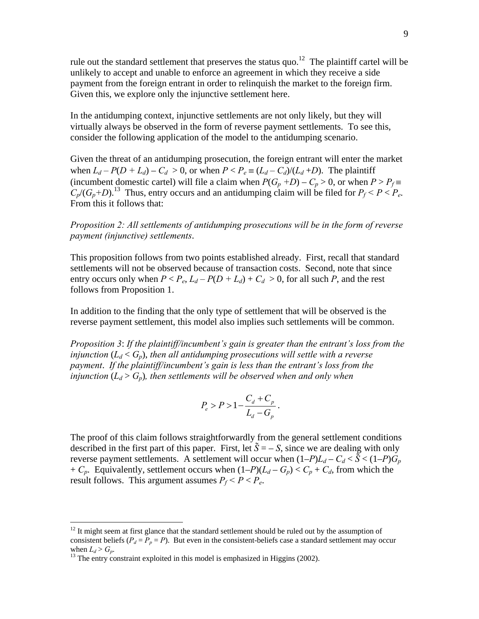rule out the standard settlement that preserves the status quo.<sup>12</sup> The plaintiff cartel will be unlikely to accept and unable to enforce an agreement in which they receive a side payment from the foreign entrant in order to relinquish the market to the foreign firm. Given this, we explore only the injunctive settlement here.

In the antidumping context, injunctive settlements are not only likely, but they will virtually always be observed in the form of reverse payment settlements. To see this, consider the following application of the model to the antidumping scenario.

Given the threat of an antidumping prosecution, the foreign entrant will enter the market when  $L_d - P(D + L_d) - C_d > 0$ , or when  $P < P_e \equiv (L_d - C_d)/(L_d + D)$ . The plaintiff (incumbent domestic cartel) will file a claim when  $P(G_p + D) - C_p > 0$ , or when  $P > P_f \equiv$  $C_p/(G_p+D)$ .<sup>13</sup> Thus, entry occurs and an antidumping claim will be filed for  $P_f < P < P_e$ . From this it follows that:

*Proposition 2: All settlements of antidumping prosecutions will be in the form of reverse payment (injunctive) settlements*.

This proposition follows from two points established already. First, recall that standard settlements will not be observed because of transaction costs. Second, note that since entry occurs only when  $P < P_e$ ,  $L_d - P(D + L_d) + C_d > 0$ , for all such *P*, and the rest follows from Proposition 1.

In addition to the finding that the only type of settlement that will be observed is the reverse payment settlement, this model also implies such settlements will be common.

*Proposition 3*: *If the plaintiff/incumbent's gain is greater than the entrant's loss from the injunction* ( $L_d < G_p$ ), then all antidumping prosecutions will settle with a reverse *payment*. *If the plaintiff/incumbent's gain is less than the entrant's loss from the injunction* ( $L_d > G_p$ ), then settlements will be observed when and only when

$$
P_e > P > 1 - \frac{C_d + C_p}{L_d - G_p}.
$$

The proof of this claim follows straightforwardly from the general settlement conditions described in the first part of this paper. First, let  $\tilde{S} = -S$ , since we are dealing with only reverse payment settlements. A settlement will occur when  $(1-P)L_d - C_d < \tilde{S} < (1-P)G_p$ +  $C_p$ . Equivalently, settlement occurs when  $(1-P)(L_d - G_p) < C_p + C_d$ , from which the result follows. This argument assumes  $P_f < P < P_e$ .

<u>.</u>

 $12$  It might seem at first glance that the standard settlement should be ruled out by the assumption of consistent beliefs ( $P_d = P_p = P$ ). But even in the consistent-beliefs case a standard settlement may occur when  $L_d > G_p$ .<br><sup>13</sup> The entry constraint exploited in this model is emphasized in Higgins (2002).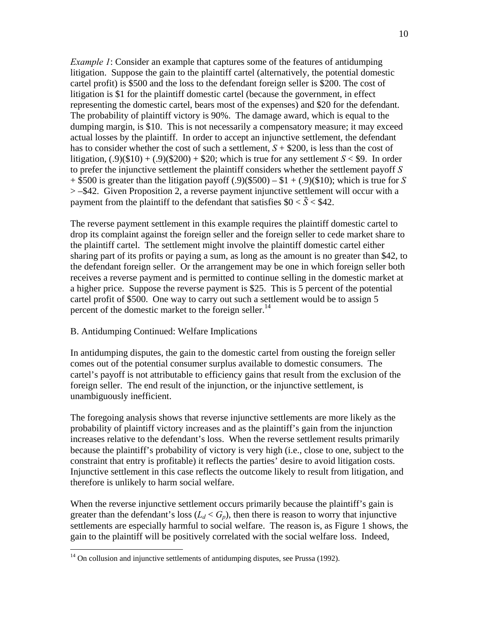*Example 1*: Consider an example that captures some of the features of antidumping litigation. Suppose the gain to the plaintiff cartel (alternatively, the potential domestic cartel profit) is \$500 and the loss to the defendant foreign seller is \$200. The cost of litigation is \$1 for the plaintiff domestic cartel (because the government, in effect representing the domestic cartel, bears most of the expenses) and \$20 for the defendant. The probability of plaintiff victory is 90%. The damage award, which is equal to the dumping margin, is \$10. This is not necessarily a compensatory measure; it may exceed actual losses by the plaintiff. In order to accept an injunctive settlement, the defendant has to consider whether the cost of such a settlement,  $S + $200$ , is less than the cost of litigation,  $(0.9)(\$10) + (0.9)(\$200) + \$20$ ; which is true for any settlement *S* < \$9. In order to prefer the injunctive settlement the plaintiff considers whether the settlement payoff *S* + \$500 is greater than the litigation payoff (.9)(\$500) – \$1 + (.9)(\$10); which is true for *S* > –\$42. Given Proposition 2, a reverse payment injunctive settlement will occur with a payment from the plaintiff to the defendant that satisfies  $$0 < \tilde{S} < $42$ .

The reverse payment settlement in this example requires the plaintiff domestic cartel to drop its complaint against the foreign seller and the foreign seller to cede market share to the plaintiff cartel. The settlement might involve the plaintiff domestic cartel either sharing part of its profits or paying a sum, as long as the amount is no greater than \$42, to the defendant foreign seller. Or the arrangement may be one in which foreign seller both receives a reverse payment and is permitted to continue selling in the domestic market at a higher price. Suppose the reverse payment is \$25. This is 5 percent of the potential cartel profit of \$500. One way to carry out such a settlement would be to assign 5 percent of the domestic market to the foreign seller.<sup>14</sup>

## B. Antidumping Continued: Welfare Implications

In antidumping disputes, the gain to the domestic cartel from ousting the foreign seller comes out of the potential consumer surplus available to domestic consumers. The cartel's payoff is not attributable to efficiency gains that result from the exclusion of the foreign seller. The end result of the injunction, or the injunctive settlement, is unambiguously inefficient.

The foregoing analysis shows that reverse injunctive settlements are more likely as the probability of plaintiff victory increases and as the plaintiff's gain from the injunction increases relative to the defendant's loss. When the reverse settlement results primarily because the plaintiff's probability of victory is very high (i.e., close to one, subject to the constraint that entry is profitable) it reflects the parties' desire to avoid litigation costs. Injunctive settlement in this case reflects the outcome likely to result from litigation, and therefore is unlikely to harm social welfare.

When the reverse injunctive settlement occurs primarily because the plaintiff's gain is greater than the defendant's loss  $(L_d < G_p)$ , then there is reason to worry that injunctive settlements are especially harmful to social welfare. The reason is, as Figure 1 shows, the gain to the plaintiff will be positively correlated with the social welfare loss. Indeed,

 $14$  On collusion and injunctive settlements of antidumping disputes, see Prussa (1992).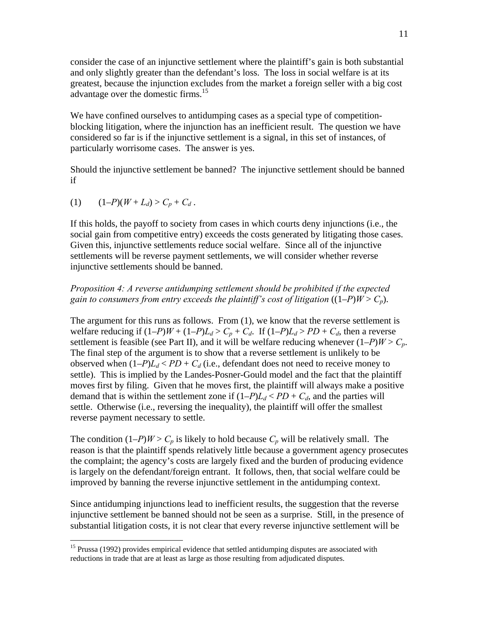consider the case of an injunctive settlement where the plaintiff's gain is both substantial and only slightly greater than the defendant's loss. The loss in social welfare is at its greatest, because the injunction excludes from the market a foreign seller with a big cost advantage over the domestic firms.<sup>15</sup>

We have confined ourselves to antidumping cases as a special type of competitionblocking litigation, where the injunction has an inefficient result. The question we have considered so far is if the injunctive settlement is a signal, in this set of instances, of particularly worrisome cases. The answer is yes.

Should the injunctive settlement be banned? The injunctive settlement should be banned if

(1)  $(1-P)(W + L_d) > C_p + C_d$ .

1

If this holds, the payoff to society from cases in which courts deny injunctions (i.e., the social gain from competitive entry) exceeds the costs generated by litigating those cases. Given this, injunctive settlements reduce social welfare. Since all of the injunctive settlements will be reverse payment settlements, we will consider whether reverse injunctive settlements should be banned.

## *Proposition 4: A reverse antidumping settlement should be prohibited if the expected gain to consumers from entry exceeds the plaintiff's cost of litigation*  $((1-P)W > C_p)$ .

The argument for this runs as follows. From (1), we know that the reverse settlement is welfare reducing if  $(1-P)W + (1-P)L_d > C_p + C_d$ . If  $(1-P)L_d > PD + C_d$ , then a reverse settlement is feasible (see Part II), and it will be welfare reducing whenever  $(1-P)W > C_p$ . The final step of the argument is to show that a reverse settlement is unlikely to be observed when  $(1-P)L_d < PD + C_d$  (i.e., defendant does not need to receive money to settle). This is implied by the Landes-Posner-Gould model and the fact that the plaintiff moves first by filing. Given that he moves first, the plaintiff will always make a positive demand that is within the settlement zone if  $(1-P)L_d < PD + C_d$ , and the parties will settle. Otherwise (i.e., reversing the inequality), the plaintiff will offer the smallest reverse payment necessary to settle.

The condition  $(1-P)W > C_p$  is likely to hold because  $C_p$  will be relatively small. The reason is that the plaintiff spends relatively little because a government agency prosecutes the complaint; the agency's costs are largely fixed and the burden of producing evidence is largely on the defendant/foreign entrant. It follows, then, that social welfare could be improved by banning the reverse injunctive settlement in the antidumping context.

Since antidumping injunctions lead to inefficient results, the suggestion that the reverse injunctive settlement be banned should not be seen as a surprise. Still, in the presence of substantial litigation costs, it is not clear that every reverse injunctive settlement will be

<sup>&</sup>lt;sup>15</sup> Prussa (1992) provides empirical evidence that settled antidumping disputes are associated with reductions in trade that are at least as large as those resulting from adjudicated disputes.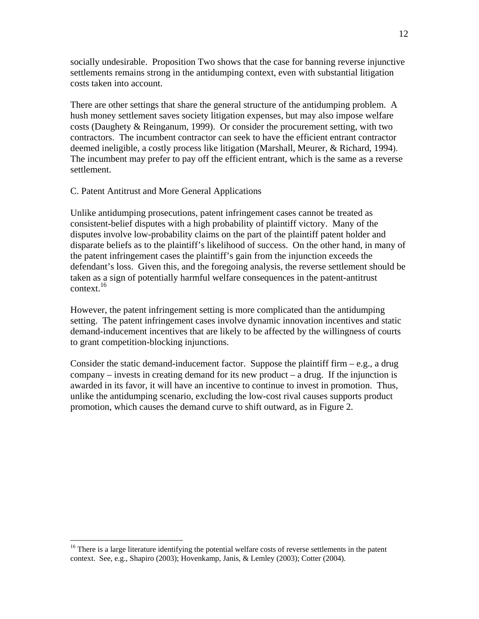socially undesirable. Proposition Two shows that the case for banning reverse injunctive settlements remains strong in the antidumping context, even with substantial litigation costs taken into account.

There are other settings that share the general structure of the antidumping problem. A hush money settlement saves society litigation expenses, but may also impose welfare costs (Daughety  $\&$  Reinganum, 1999). Or consider the procurement setting, with two contractors. The incumbent contractor can seek to have the efficient entrant contractor deemed ineligible, a costly process like litigation (Marshall, Meurer, & Richard, 1994). The incumbent may prefer to pay off the efficient entrant, which is the same as a reverse settlement.

#### C. Patent Antitrust and More General Applications

Unlike antidumping prosecutions, patent infringement cases cannot be treated as consistent-belief disputes with a high probability of plaintiff victory. Many of the disputes involve low-probability claims on the part of the plaintiff patent holder and disparate beliefs as to the plaintiff's likelihood of success. On the other hand, in many of the patent infringement cases the plaintiff's gain from the injunction exceeds the defendant's loss. Given this, and the foregoing analysis, the reverse settlement should be taken as a sign of potentially harmful welfare consequences in the patent-antitrust context. $^{16}$ 

However, the patent infringement setting is more complicated than the antidumping setting. The patent infringement cases involve dynamic innovation incentives and static demand-inducement incentives that are likely to be affected by the willingness of courts to grant competition-blocking injunctions.

Consider the static demand-inducement factor. Suppose the plaintiff firm  $-e.g., a drug$ company – invests in creating demand for its new product – a drug. If the injunction is awarded in its favor, it will have an incentive to continue to invest in promotion. Thus, unlike the antidumping scenario, excluding the low-cost rival causes supports product promotion, which causes the demand curve to shift outward, as in Figure 2.

1

<sup>&</sup>lt;sup>16</sup> There is a large literature identifying the potential welfare costs of reverse settlements in the patent context. See, e.g., Shapiro (2003); Hovenkamp, Janis, & Lemley (2003); Cotter (2004).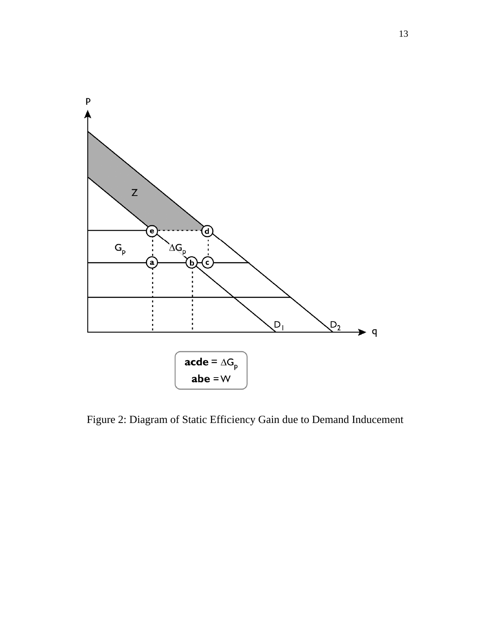

Figure 2: Diagram of Static Efficiency Gain due to Demand Inducement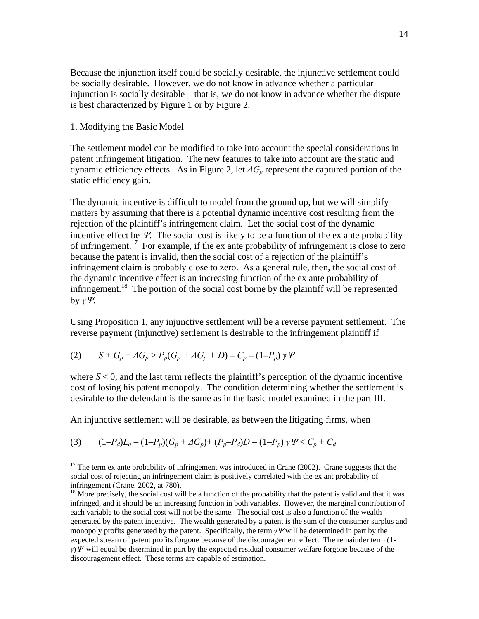Because the injunction itself could be socially desirable, the injunctive settlement could be socially desirable. However, we do not know in advance whether a particular injunction is socially desirable – that is, we do not know in advance whether the dispute is best characterized by Figure 1 or by Figure 2.

## 1. Modifying the Basic Model

 $\overline{a}$ 

The settlement model can be modified to take into account the special considerations in patent infringement litigation. The new features to take into account are the static and dynamic efficiency effects. As in Figure 2, let  $\Delta G_p$  represent the captured portion of the static efficiency gain.

The dynamic incentive is difficult to model from the ground up, but we will simplify matters by assuming that there is a potential dynamic incentive cost resulting from the rejection of the plaintiff's infringement claim. Let the social cost of the dynamic incentive effect be  $\mathcal{V}$ . The social cost is likely to be a function of the ex ante probability of infringement.<sup>17</sup> For example, if the ex ante probability of infringement is close to zero because the patent is invalid, then the social cost of a rejection of the plaintiff's infringement claim is probably close to zero. As a general rule, then, the social cost of the dynamic incentive effect is an increasing function of the ex ante probability of infringement.<sup>18</sup> The portion of the social cost borne by the plaintiff will be represented by *γ*.

Using Proposition 1, any injunctive settlement will be a reverse payment settlement. The reverse payment (injunctive) settlement is desirable to the infringement plaintiff if

(2) 
$$
S + G_p + \Delta G_p > P_p(G_p + \Delta G_p + D) - C_p - (1-P_p)\gamma \Psi
$$

where  $S < 0$ , and the last term reflects the plaintiff's perception of the dynamic incentive cost of losing his patent monopoly. The condition determining whether the settlement is desirable to the defendant is the same as in the basic model examined in the part III.

An injunctive settlement will be desirable, as between the litigating firms, when

(3) 
$$
(1-P_d)L_d - (1-P_p)(G_p + \Delta G_p) + (P_p - P_d)D - (1-P_p)\gamma \Psi < C_p + C_d
$$

 $17$  The term ex ante probability of infringement was introduced in Crane (2002). Crane suggests that the social cost of rejecting an infringement claim is positively correlated with the ex ant probability of infringement (Crane, 2002, at 780).

 $18$  More precisely, the social cost will be a function of the probability that the patent is valid and that it was infringed, and it should be an increasing function in both variables. However, the marginal contribution of each variable to the social cost will not be the same. The social cost is also a function of the wealth generated by the patent incentive. The wealth generated by a patent is the sum of the consumer surplus and monopoly profits generated by the patent. Specifically, the term  $\gamma \Psi$  will be determined in part by the expected stream of patent profits forgone because of the discouragement effect. The remainder term (1-  $\gamma$ )  $\gamma$  will equal be determined in part by the expected residual consumer welfare forgone because of the discouragement effect. These terms are capable of estimation.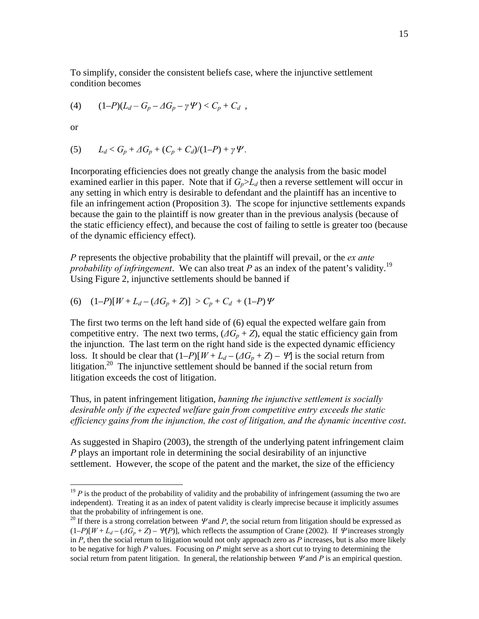To simplify, consider the consistent beliefs case, where the injunctive settlement condition becomes

(4) 
$$
(1-P)(L_d - G_p - \Delta G_p - \gamma \Psi) < C_p + C_d ,
$$

or

1

(5) 
$$
L_d < G_p + \Delta G_p + (C_p + C_d)/(1-P) + \gamma \Psi
$$
.

Incorporating efficiencies does not greatly change the analysis from the basic model examined earlier in this paper. Note that if  $G_p>L_d$  then a reverse settlement will occur in any setting in which entry is desirable to defendant and the plaintiff has an incentive to file an infringement action (Proposition 3). The scope for injunctive settlements expands because the gain to the plaintiff is now greater than in the previous analysis (because of the static efficiency effect), and because the cost of failing to settle is greater too (because of the dynamic efficiency effect).

*P* represents the objective probability that the plaintiff will prevail, or the *ex ante probability of infringement*. We can also treat *P* as an index of the patent's validity.<sup>19</sup> Using Figure 2, injunctive settlements should be banned if

(6) 
$$
(1-P)[W + L_d - (\varDelta G_p + Z)] > C_p + C_d + (1-P)\Psi
$$

The first two terms on the left hand side of (6) equal the expected welfare gain from competitive entry. The next two terms,  $(\Delta G_p + Z)$ , equal the static efficiency gain from the injunction. The last term on the right hand side is the expected dynamic efficiency loss. It should be clear that  $(1-P)[W + L_d - (A G_p + Z) - \Psi]$  is the social return from litigation.<sup>20</sup> The injunctive settlement should be banned if the social return from litigation exceeds the cost of litigation.

Thus, in patent infringement litigation, *banning the injunctive settlement is socially desirable only if the expected welfare gain from competitive entry exceeds the static efficiency gains from the injunction, the cost of litigation, and the dynamic incentive cost*.

As suggested in Shapiro (2003), the strength of the underlying patent infringement claim *P* plays an important role in determining the social desirability of an injunctive settlement. However, the scope of the patent and the market, the size of the efficiency

 $19$  *P* is the product of the probability of validity and the probability of infringement (assuming the two are independent). Treating it as an index of patent validity is clearly imprecise because it implicitly assumes that the probability of infringement is one.

<sup>&</sup>lt;sup>20</sup> If there is a strong correlation between  $\gamma$  and P, the social return from litigation should be expressed as  $(1-P)[W + L_d - (\Delta G_p + Z) - \Psi(P)]$ , which reflects the assumption of Crane (2002). If *Y* increases strongly in *P*, then the social return to litigation would not only approach zero as *P* increases, but is also more likely to be negative for high *P* values. Focusing on *P* might serve as a short cut to trying to determining the social return from patent litigation. In general, the relationship between  $\gamma$  and  $P$  is an empirical question.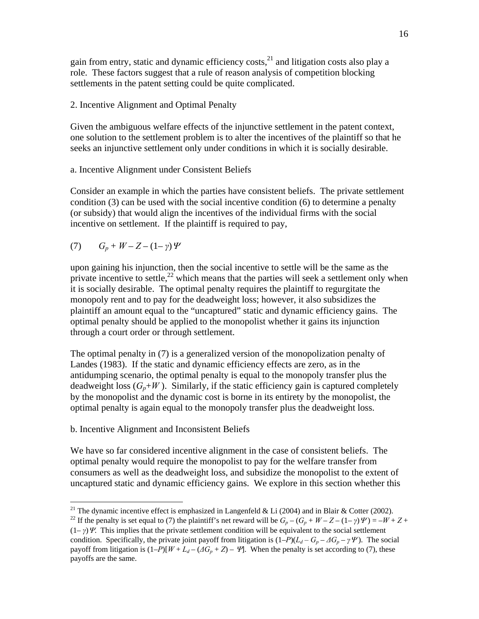gain from entry, static and dynamic efficiency  $costs$ ,<sup>21</sup> and litigation costs also play a role. These factors suggest that a rule of reason analysis of competition blocking settlements in the patent setting could be quite complicated.

## 2. Incentive Alignment and Optimal Penalty

Given the ambiguous welfare effects of the injunctive settlement in the patent context, one solution to the settlement problem is to alter the incentives of the plaintiff so that he seeks an injunctive settlement only under conditions in which it is socially desirable.

## a. Incentive Alignment under Consistent Beliefs

Consider an example in which the parties have consistent beliefs. The private settlement condition (3) can be used with the social incentive condition (6) to determine a penalty (or subsidy) that would align the incentives of the individual firms with the social incentive on settlement. If the plaintiff is required to pay,

$$
(7) \qquad G_p + W - Z - (1 - \gamma) \Psi
$$

upon gaining his injunction, then the social incentive to settle will be the same as the private incentive to settle,  $^{22}$  which means that the parties will seek a settlement only when it is socially desirable. The optimal penalty requires the plaintiff to regurgitate the monopoly rent and to pay for the deadweight loss; however, it also subsidizes the plaintiff an amount equal to the "uncaptured" static and dynamic efficiency gains. The optimal penalty should be applied to the monopolist whether it gains its injunction through a court order or through settlement.

The optimal penalty in (7) is a generalized version of the monopolization penalty of Landes (1983). If the static and dynamic efficiency effects are zero, as in the antidumping scenario, the optimal penalty is equal to the monopoly transfer plus the deadweight loss  $(G_p+W)$ . Similarly, if the static efficiency gain is captured completely by the monopolist and the dynamic cost is borne in its entirety by the monopolist, the optimal penalty is again equal to the monopoly transfer plus the deadweight loss.

b. Incentive Alignment and Inconsistent Beliefs

1

We have so far considered incentive alignment in the case of consistent beliefs. The optimal penalty would require the monopolist to pay for the welfare transfer from consumers as well as the deadweight loss, and subsidize the monopolist to the extent of uncaptured static and dynamic efficiency gains. We explore in this section whether this

<sup>&</sup>lt;sup>21</sup> The dynamic incentive effect is emphasized in Langenfeld & Li (2004) and in Blair & Cotter (2002).<br><sup>22</sup> If the penalty is set equal to (7) the plaintiff's net reward will be  $G_p - (G_p + W - Z - (1 - \gamma) \Psi) = -W + Z +$ 

 $(1-\gamma)$  *Y*. This implies that the private settlement condition will be equivalent to the social settlement condition. Specifically, the private joint payoff from litigation is  $(1-P)(L_d - G_p - \Delta G_p - \gamma \Psi)$ . The social payoff from litigation is  $(1-P)[W + L_d - (\Delta G_p + Z) - \Psi]$ . When the penalty is set according to (7), these payoffs are the same.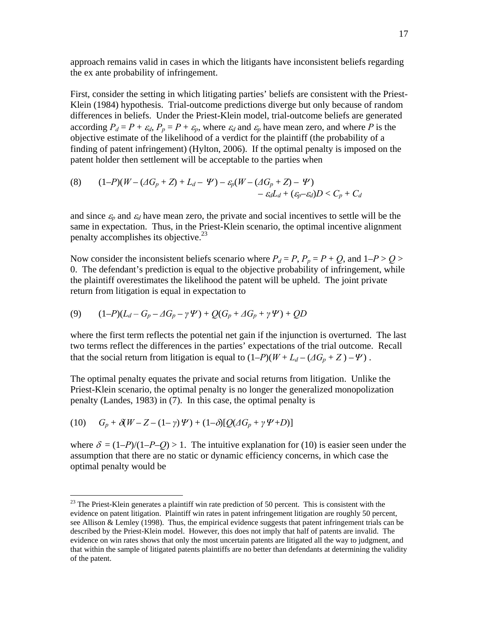approach remains valid in cases in which the litigants have inconsistent beliefs regarding the ex ante probability of infringement.

First, consider the setting in which litigating parties' beliefs are consistent with the Priest-Klein (1984) hypothesis. Trial-outcome predictions diverge but only because of random differences in beliefs. Under the Priest-Klein model, trial-outcome beliefs are generated according  $P_d = P + \varepsilon_d$ ,  $P_p = P + \varepsilon_p$ , where  $\varepsilon_d$  and  $\varepsilon_p$  have mean zero, and where *P* is the objective estimate of the likelihood of a verdict for the plaintiff (the probability of a finding of patent infringement) (Hylton, 2006). If the optimal penalty is imposed on the patent holder then settlement will be acceptable to the parties when

(8) 
$$
(1-P)(W - (\Delta G_p + Z) + L_d - \Psi) - \varepsilon_p(W - (\Delta G_p + Z) - \Psi) - \varepsilon_d L_d + (\varepsilon_p - \varepsilon_d)D < C_p + C_d
$$

and since  $\varepsilon_p$  and  $\varepsilon_d$  have mean zero, the private and social incentives to settle will be the same in expectation. Thus, in the Priest-Klein scenario, the optimal incentive alignment penalty accomplishes its objective. $^{23}$ 

Now consider the inconsistent beliefs scenario where  $P_d = P$ ,  $P_p = P + Q$ , and  $1-P > Q >$ 0. The defendant's prediction is equal to the objective probability of infringement, while the plaintiff overestimates the likelihood the patent will be upheld. The joint private return from litigation is equal in expectation to

(9) 
$$
(1-P)(L_d - G_p - \Delta G_p - \gamma \Psi) + Q(G_p + \Delta G_p + \gamma \Psi) + QD
$$

where the first term reflects the potential net gain if the injunction is overturned. The last two terms reflect the differences in the parties' expectations of the trial outcome. Recall that the social return from litigation is equal to  $(1-P)(W + L_d - (\Delta G_p + Z) - \Psi)$ .

The optimal penalty equates the private and social returns from litigation. Unlike the Priest-Klein scenario, the optimal penalty is no longer the generalized monopolization penalty (Landes, 1983) in (7). In this case, the optimal penalty is

(10) 
$$
G_p + \delta(W - Z - (1 - \gamma) \Psi) + (1 - \delta) [Q(\Delta G_p + \gamma \Psi + D)]
$$

 $\overline{a}$ 

where  $\delta = (1-P)/(1-P-O) > 1$ . The intuitive explanation for (10) is easier seen under the assumption that there are no static or dynamic efficiency concerns, in which case the optimal penalty would be

 $^{23}$  The Priest-Klein generates a plaintiff win rate prediction of 50 percent. This is consistent with the evidence on patent litigation. Plaintiff win rates in patent infringement litigation are roughly 50 percent, see Allison & Lemley (1998). Thus, the empirical evidence suggests that patent infringement trials can be described by the Priest-Klein model. However, this does not imply that half of patents are invalid. The evidence on win rates shows that only the most uncertain patents are litigated all the way to judgment, and that within the sample of litigated patents plaintiffs are no better than defendants at determining the validity of the patent.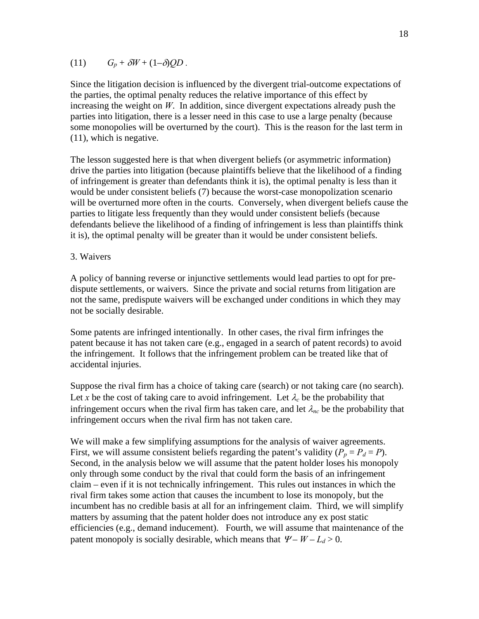## $(11)$   $G_p + \delta W + (1-\delta)QD$ .

Since the litigation decision is influenced by the divergent trial-outcome expectations of the parties, the optimal penalty reduces the relative importance of this effect by increasing the weight on *W*. In addition, since divergent expectations already push the parties into litigation, there is a lesser need in this case to use a large penalty (because some monopolies will be overturned by the court). This is the reason for the last term in (11), which is negative.

The lesson suggested here is that when divergent beliefs (or asymmetric information) drive the parties into litigation (because plaintiffs believe that the likelihood of a finding of infringement is greater than defendants think it is), the optimal penalty is less than it would be under consistent beliefs (7) because the worst-case monopolization scenario will be overturned more often in the courts. Conversely, when divergent beliefs cause the parties to litigate less frequently than they would under consistent beliefs (because defendants believe the likelihood of a finding of infringement is less than plaintiffs think it is), the optimal penalty will be greater than it would be under consistent beliefs.

## 3. Waivers

A policy of banning reverse or injunctive settlements would lead parties to opt for predispute settlements, or waivers. Since the private and social returns from litigation are not the same, predispute waivers will be exchanged under conditions in which they may not be socially desirable.

Some patents are infringed intentionally. In other cases, the rival firm infringes the patent because it has not taken care (e.g., engaged in a search of patent records) to avoid the infringement. It follows that the infringement problem can be treated like that of accidental injuries.

Suppose the rival firm has a choice of taking care (search) or not taking care (no search). Let x be the cost of taking care to avoid infringement. Let  $\lambda_c$  be the probability that infringement occurs when the rival firm has taken care, and let  $\lambda_{nc}$  be the probability that infringement occurs when the rival firm has not taken care.

We will make a few simplifying assumptions for the analysis of waiver agreements. First, we will assume consistent beliefs regarding the patent's validity  $(P_p = P_d = P)$ . Second, in the analysis below we will assume that the patent holder loses his monopoly only through some conduct by the rival that could form the basis of an infringement claim – even if it is not technically infringement. This rules out instances in which the rival firm takes some action that causes the incumbent to lose its monopoly, but the incumbent has no credible basis at all for an infringement claim. Third, we will simplify matters by assuming that the patent holder does not introduce any ex post static efficiencies (e.g., demand inducement). Fourth, we will assume that maintenance of the patent monopoly is socially desirable, which means that  $\Psi - W - L_d > 0$ .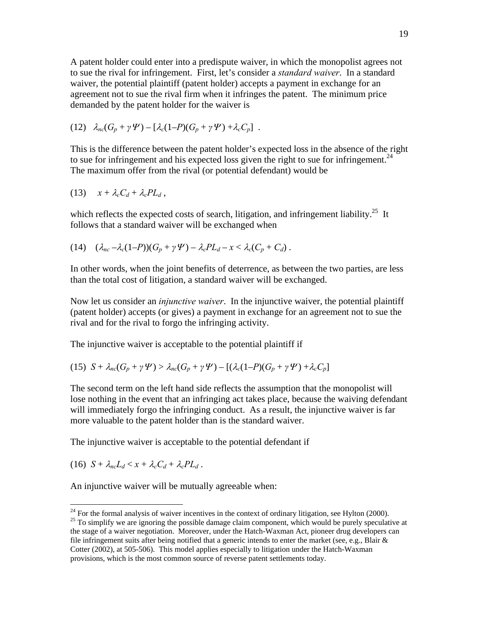A patent holder could enter into a predispute waiver, in which the monopolist agrees not to sue the rival for infringement. First, let's consider a *standard waiver*. In a standard waiver, the potential plaintiff (patent holder) accepts a payment in exchange for an agreement not to sue the rival firm when it infringes the patent. The minimum price demanded by the patent holder for the waiver is

(12) 
$$
\lambda_{nc}(G_p + \gamma \Psi) - [\lambda_c(1-P)(G_p + \gamma \Psi) + \lambda_c C_p].
$$

This is the difference between the patent holder's expected loss in the absence of the right to sue for infringement and his expected loss given the right to sue for infringement.<sup>24</sup> The maximum offer from the rival (or potential defendant) would be

$$
(13) \t x + \lambda_c C_d + \lambda_c PL_d,
$$

which reflects the expected costs of search, litigation, and infringement liability.<sup>25</sup> It follows that a standard waiver will be exchanged when

(14) 
$$
(\lambda_{nc} - \lambda_c(1-P))(G_p + \gamma \Psi) - \lambda_c PL_d - x < \lambda_c (C_p + C_d).
$$

In other words, when the joint benefits of deterrence, as between the two parties, are less than the total cost of litigation, a standard waiver will be exchanged.

Now let us consider an *injunctive waiver*. In the injunctive waiver, the potential plaintiff (patent holder) accepts (or gives) a payment in exchange for an agreement not to sue the rival and for the rival to forgo the infringing activity.

The injunctive waiver is acceptable to the potential plaintiff if

(15) 
$$
S + \lambda_{nc}(G_p + \gamma \Psi) > \lambda_{nc}(G_p + \gamma \Psi) - [(\lambda_c(1-P)(G_p + \gamma \Psi) + \lambda_c C_p)]
$$

The second term on the left hand side reflects the assumption that the monopolist will lose nothing in the event that an infringing act takes place, because the waiving defendant will immediately forgo the infringing conduct. As a result, the injunctive waiver is far more valuable to the patent holder than is the standard waiver.

The injunctive waiver is acceptable to the potential defendant if

(16)  $S + \lambda_{nc}L_d < x + \lambda_cC_d + \lambda_cPL_d$ .

 $\overline{a}$ 

An injunctive waiver will be mutually agreeable when:

 $24$  For the formal analysis of waiver incentives in the context of ordinary litigation, see Hylton (2000).  $25$  To simplify we are ignoring the possible damage claim component, which would be purely speculative at the stage of a waiver negotiation. Moreover, under the Hatch-Waxman Act, pioneer drug developers can file infringement suits after being notified that a generic intends to enter the market (see, e.g., Blair  $\&$ Cotter (2002), at 505-506). This model applies especially to litigation under the Hatch-Waxman provisions, which is the most common source of reverse patent settlements today.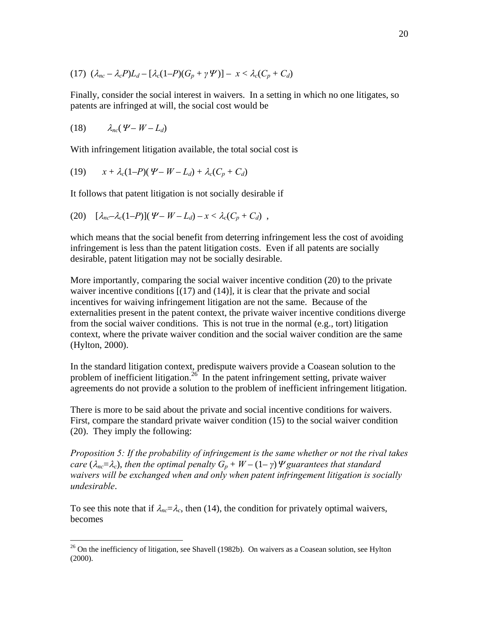(17) 
$$
(\lambda_{nc} - \lambda_c P)L_d - [\lambda_c(1-P)(G_p + \gamma \Psi)] - x < \lambda_c(C_p + C_d)
$$

Finally, consider the social interest in waivers. In a setting in which no one litigates, so patents are infringed at will, the social cost would be

$$
(18) \qquad \lambda_{nc}(\Psi - W - L_d)
$$

1

With infringement litigation available, the total social cost is

(19) 
$$
x + \lambda_c (1 - P)(\Psi - W - L_d) + \lambda_c (C_p + C_d)
$$

It follows that patent litigation is not socially desirable if

(20) 
$$
[\lambda_{nc} - \lambda_c(1-P)](\Psi - W - L_d) - x < \lambda_c(C_p + C_d) \, ,
$$

which means that the social benefit from deterring infringement less the cost of avoiding infringement is less than the patent litigation costs. Even if all patents are socially desirable, patent litigation may not be socially desirable.

More importantly, comparing the social waiver incentive condition (20) to the private waiver incentive conditions  $[(17)$  and  $(14)]$ , it is clear that the private and social incentives for waiving infringement litigation are not the same. Because of the externalities present in the patent context, the private waiver incentive conditions diverge from the social waiver conditions. This is not true in the normal (e.g., tort) litigation context, where the private waiver condition and the social waiver condition are the same (Hylton, 2000).

In the standard litigation context, predispute waivers provide a Coasean solution to the problem of inefficient litigation.<sup>26</sup> In the patent infringement setting, private waiver agreements do not provide a solution to the problem of inefficient infringement litigation.

There is more to be said about the private and social incentive conditions for waivers. First, compare the standard private waiver condition (15) to the social waiver condition (20). They imply the following:

*Proposition 5: If the probability of infringement is the same whether or not the rival takes care* ( $\lambda_{nc} = \lambda_c$ ), *then the optimal penalty*  $G_p + W - (1 - \gamma) \Psi$  guarantees that standard *waivers will be exchanged when and only when patent infringement litigation is socially undesirable*.

To see this note that if  $\lambda_{nc} = \lambda_c$ , then (14), the condition for privately optimal waivers, becomes

 $26$  On the inefficiency of litigation, see Shavell (1982b). On waivers as a Coasean solution, see Hylton (2000).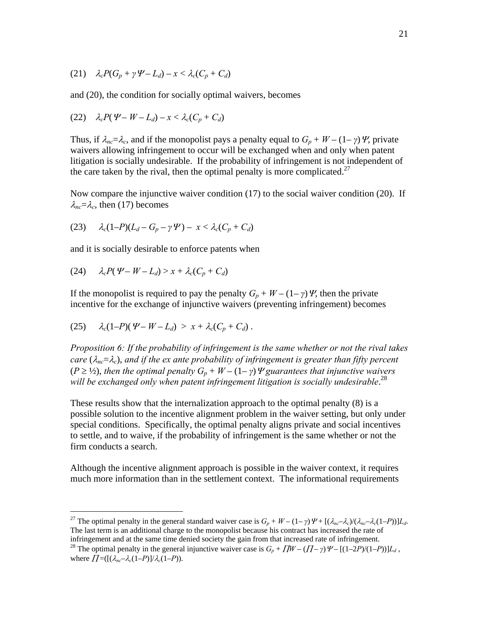$$
(21) \quad \lambda_c P(G_p + \gamma \varPsi - L_d) - x < \lambda_c (C_p + C_d)
$$

and (20), the condition for socially optimal waivers, becomes

(22) 
$$
\lambda_c P(\Psi - W - L_d) - x < \lambda_c (C_p + C_d)
$$

Thus, if  $\lambda_{nc} = \lambda_c$ , and if the monopolist pays a penalty equal to  $G_p + W - (1 - \gamma) \Psi$ , private waivers allowing infringement to occur will be exchanged when and only when patent litigation is socially undesirable. If the probability of infringement is not independent of the care taken by the rival, then the optimal penalty is more complicated.<sup>27</sup>

Now compare the injunctive waiver condition (17) to the social waiver condition (20). If  $\lambda_{nc} = \lambda_c$ , then (17) becomes

(23) 
$$
\lambda_c(1-P)(L_d-G_p-\gamma\Psi)-x<\lambda_c(C_p+C_d)
$$

and it is socially desirable to enforce patents when

$$
(24) \qquad \lambda_c P(\Psi - W - L_d) > x + \lambda_c (C_p + C_d)
$$

1

If the monopolist is required to pay the penalty  $G_p + W - (1 - \gamma) \Psi$ , then the private incentive for the exchange of injunctive waivers (preventing infringement) becomes

(25) 
$$
\lambda_c(1-P)(\Psi - W - L_d) > x + \lambda_c(C_p + C_d)
$$
.

*Proposition 6: If the probability of infringement is the same whether or not the rival takes care* ( $\lambda_{nc} = \lambda_c$ ), and if the ex ante probability of infringement is greater than fifty percent  $(P \ge 1/2)$ , then the optimal penalty  $G_p + W - (1 - \gamma) \Psi$  guarantees that injunctive waivers will be exchanged only when patent infringement litigation is socially undesirable.<sup>28</sup>

These results show that the internalization approach to the optimal penalty (8) is a possible solution to the incentive alignment problem in the waiver setting, but only under special conditions. Specifically, the optimal penalty aligns private and social incentives to settle, and to waive, if the probability of infringement is the same whether or not the firm conducts a search.

Although the incentive alignment approach is possible in the waiver context, it requires much more information than in the settlement context. The informational requirements

<sup>&</sup>lt;sup>27</sup> The optimal penalty in the general standard waiver case is  $G_p + W - (1 - \gamma) \Psi + [(\lambda_{nc} - \lambda_c)/(\lambda_{nc} - \lambda_c(1 - P))]L_d$ . The last term is an additional charge to the monopolist because his contract has increased the rate of infringement and at the same time denied society the gain from that increased rate of infringement.

<sup>&</sup>lt;sup>28</sup> The optimal penalty in the general injunctive waiver case is  $G_p + \sqrt{W} - (\sqrt{I} - \gamma) \Psi - [(\sqrt{I} - 2P)(\sqrt{I} - P)]L_d$ , where  $\prod = ([(\lambda_{nc} - \lambda_c(1-P)]/\lambda_c(1-P)).$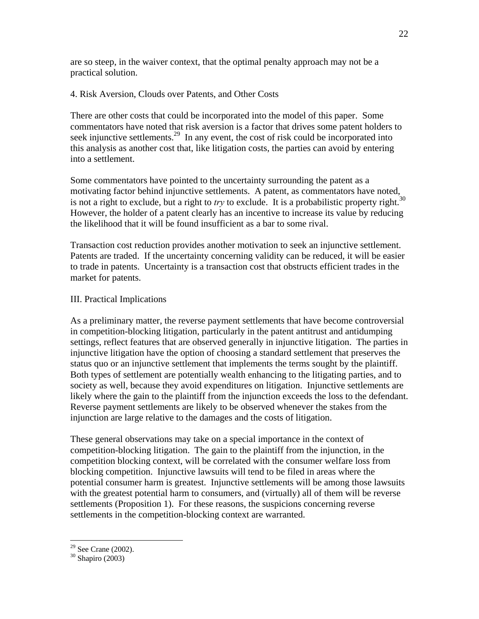are so steep, in the waiver context, that the optimal penalty approach may not be a practical solution.

## 4. Risk Aversion, Clouds over Patents, and Other Costs

There are other costs that could be incorporated into the model of this paper. Some commentators have noted that risk aversion is a factor that drives some patent holders to seek injunctive settlements.<sup>29</sup> In any event, the cost of risk could be incorporated into this analysis as another cost that, like litigation costs, the parties can avoid by entering into a settlement.

Some commentators have pointed to the uncertainty surrounding the patent as a motivating factor behind injunctive settlements. A patent, as commentators have noted, is not a right to exclude, but a right to  $try$  to exclude. It is a probabilistic property right.<sup>30</sup> However, the holder of a patent clearly has an incentive to increase its value by reducing the likelihood that it will be found insufficient as a bar to some rival.

Transaction cost reduction provides another motivation to seek an injunctive settlement. Patents are traded. If the uncertainty concerning validity can be reduced, it will be easier to trade in patents. Uncertainty is a transaction cost that obstructs efficient trades in the market for patents.

## III. Practical Implications

As a preliminary matter, the reverse payment settlements that have become controversial in competition-blocking litigation, particularly in the patent antitrust and antidumping settings, reflect features that are observed generally in injunctive litigation. The parties in injunctive litigation have the option of choosing a standard settlement that preserves the status quo or an injunctive settlement that implements the terms sought by the plaintiff. Both types of settlement are potentially wealth enhancing to the litigating parties, and to society as well, because they avoid expenditures on litigation. Injunctive settlements are likely where the gain to the plaintiff from the injunction exceeds the loss to the defendant. Reverse payment settlements are likely to be observed whenever the stakes from the injunction are large relative to the damages and the costs of litigation.

These general observations may take on a special importance in the context of competition-blocking litigation. The gain to the plaintiff from the injunction, in the competition blocking context, will be correlated with the consumer welfare loss from blocking competition. Injunctive lawsuits will tend to be filed in areas where the potential consumer harm is greatest. Injunctive settlements will be among those lawsuits with the greatest potential harm to consumers, and (virtually) all of them will be reverse settlements (Proposition 1). For these reasons, the suspicions concerning reverse settlements in the competition-blocking context are warranted.

1

 $29$  See Crane (2002).

<sup>30</sup> Shapiro (2003)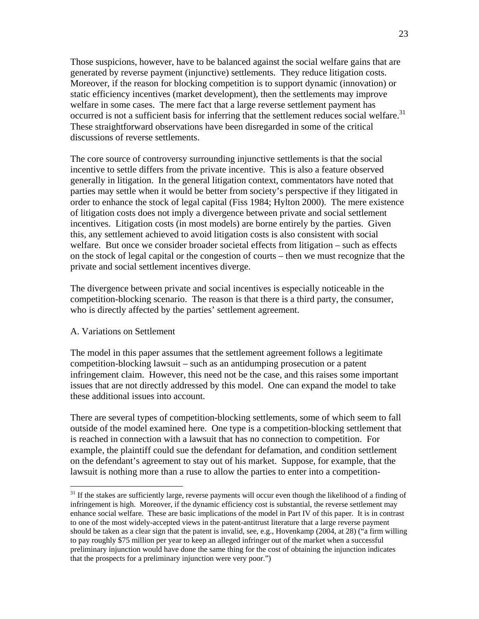Those suspicions, however, have to be balanced against the social welfare gains that are generated by reverse payment (injunctive) settlements. They reduce litigation costs. Moreover, if the reason for blocking competition is to support dynamic (innovation) or static efficiency incentives (market development), then the settlements may improve welfare in some cases. The mere fact that a large reverse settlement payment has occurred is not a sufficient basis for inferring that the settlement reduces social welfare.<sup>31</sup> These straightforward observations have been disregarded in some of the critical discussions of reverse settlements.

The core source of controversy surrounding injunctive settlements is that the social incentive to settle differs from the private incentive. This is also a feature observed generally in litigation. In the general litigation context, commentators have noted that parties may settle when it would be better from society's perspective if they litigated in order to enhance the stock of legal capital (Fiss 1984; Hylton 2000). The mere existence of litigation costs does not imply a divergence between private and social settlement incentives. Litigation costs (in most models) are borne entirely by the parties. Given this, any settlement achieved to avoid litigation costs is also consistent with social welfare. But once we consider broader societal effects from litigation – such as effects on the stock of legal capital or the congestion of courts – then we must recognize that the private and social settlement incentives diverge.

The divergence between private and social incentives is especially noticeable in the competition-blocking scenario. The reason is that there is a third party, the consumer, who is directly affected by the parties' settlement agreement.

#### A. Variations on Settlement

1

The model in this paper assumes that the settlement agreement follows a legitimate competition-blocking lawsuit – such as an antidumping prosecution or a patent infringement claim. However, this need not be the case, and this raises some important issues that are not directly addressed by this model. One can expand the model to take these additional issues into account.

There are several types of competition-blocking settlements, some of which seem to fall outside of the model examined here. One type is a competition-blocking settlement that is reached in connection with a lawsuit that has no connection to competition. For example, the plaintiff could sue the defendant for defamation, and condition settlement on the defendant's agreement to stay out of his market. Suppose, for example, that the lawsuit is nothing more than a ruse to allow the parties to enter into a competition-

<sup>&</sup>lt;sup>31</sup> If the stakes are sufficiently large, reverse payments will occur even though the likelihood of a finding of infringement is high. Moreover, if the dynamic efficiency cost is substantial, the reverse settlement may enhance social welfare. These are basic implications of the model in Part IV of this paper. It is in contrast to one of the most widely-accepted views in the patent-antitrust literature that a large reverse payment should be taken as a clear sign that the patent is invalid, see, e.g., Hovenkamp (2004, at 28) ("a firm willing to pay roughly \$75 million per year to keep an alleged infringer out of the market when a successful preliminary injunction would have done the same thing for the cost of obtaining the injunction indicates that the prospects for a preliminary injunction were very poor.")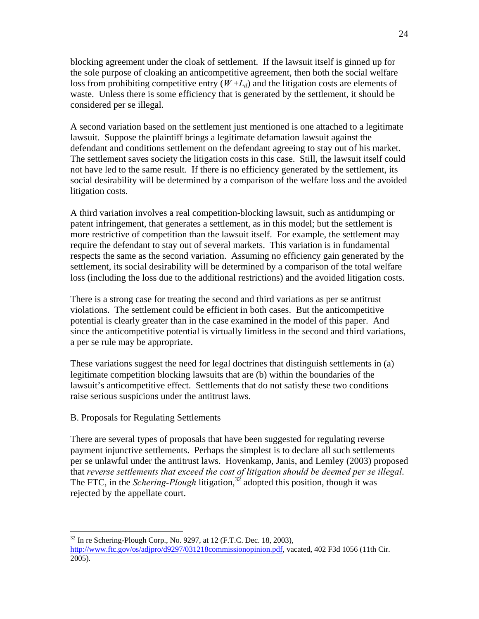blocking agreement under the cloak of settlement. If the lawsuit itself is ginned up for the sole purpose of cloaking an anticompetitive agreement, then both the social welfare loss from prohibiting competitive entry  $(W + L_d)$  and the litigation costs are elements of waste. Unless there is some efficiency that is generated by the settlement, it should be considered per se illegal.

A second variation based on the settlement just mentioned is one attached to a legitimate lawsuit. Suppose the plaintiff brings a legitimate defamation lawsuit against the defendant and conditions settlement on the defendant agreeing to stay out of his market. The settlement saves society the litigation costs in this case. Still, the lawsuit itself could not have led to the same result. If there is no efficiency generated by the settlement, its social desirability will be determined by a comparison of the welfare loss and the avoided litigation costs.

A third variation involves a real competition-blocking lawsuit, such as antidumping or patent infringement, that generates a settlement, as in this model; but the settlement is more restrictive of competition than the lawsuit itself. For example, the settlement may require the defendant to stay out of several markets. This variation is in fundamental respects the same as the second variation. Assuming no efficiency gain generated by the settlement, its social desirability will be determined by a comparison of the total welfare loss (including the loss due to the additional restrictions) and the avoided litigation costs.

There is a strong case for treating the second and third variations as per se antitrust violations. The settlement could be efficient in both cases. But the anticompetitive potential is clearly greater than in the case examined in the model of this paper. And since the anticompetitive potential is virtually limitless in the second and third variations, a per se rule may be appropriate.

These variations suggest the need for legal doctrines that distinguish settlements in (a) legitimate competition blocking lawsuits that are (b) within the boundaries of the lawsuit's anticompetitive effect. Settlements that do not satisfy these two conditions raise serious suspicions under the antitrust laws.

## B. Proposals for Regulating Settlements

1

There are several types of proposals that have been suggested for regulating reverse payment injunctive settlements. Perhaps the simplest is to declare all such settlements per se unlawful under the antitrust laws. Hovenkamp, Janis, and Lemley (2003) proposed that *reverse settlements that exceed the cost of litigation should be deemed per se illegal*. The FTC, in the *Schering-Plough* litigation,<sup>32</sup> adopted this position, though it was rejected by the appellate court.

<sup>32</sup> In re Schering-Plough Corp., No. 9297, at 12 (F.T.C. Dec. 18, 2003),

http://www.ftc.gov/os/adjpro/d9297/031218commissionopinion.pdf, vacated, 402 F3d 1056 (11th Cir. 2005).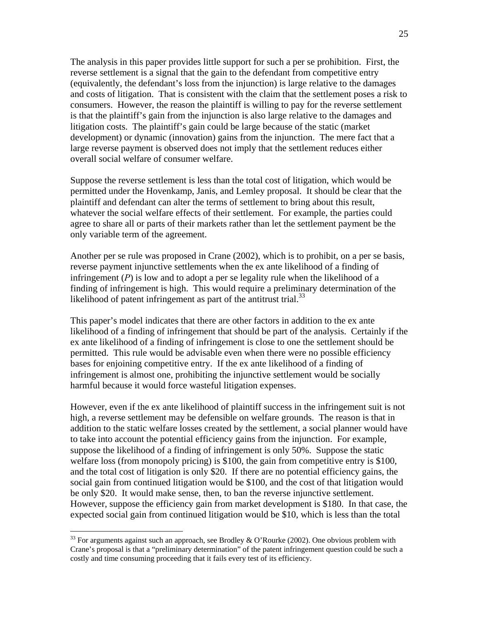The analysis in this paper provides little support for such a per se prohibition. First, the reverse settlement is a signal that the gain to the defendant from competitive entry (equivalently, the defendant's loss from the injunction) is large relative to the damages and costs of litigation. That is consistent with the claim that the settlement poses a risk to consumers. However, the reason the plaintiff is willing to pay for the reverse settlement is that the plaintiff's gain from the injunction is also large relative to the damages and litigation costs. The plaintiff's gain could be large because of the static (market development) or dynamic (innovation) gains from the injunction. The mere fact that a large reverse payment is observed does not imply that the settlement reduces either overall social welfare of consumer welfare.

Suppose the reverse settlement is less than the total cost of litigation, which would be permitted under the Hovenkamp, Janis, and Lemley proposal. It should be clear that the plaintiff and defendant can alter the terms of settlement to bring about this result, whatever the social welfare effects of their settlement. For example, the parties could agree to share all or parts of their markets rather than let the settlement payment be the only variable term of the agreement.

Another per se rule was proposed in Crane (2002), which is to prohibit, on a per se basis, reverse payment injunctive settlements when the ex ante likelihood of a finding of infringement (*P*) is low and to adopt a per se legality rule when the likelihood of a finding of infringement is high. This would require a preliminary determination of the likelihood of patent infringement as part of the antitrust trial. $^{33}$ 

This paper's model indicates that there are other factors in addition to the ex ante likelihood of a finding of infringement that should be part of the analysis. Certainly if the ex ante likelihood of a finding of infringement is close to one the settlement should be permitted. This rule would be advisable even when there were no possible efficiency bases for enjoining competitive entry. If the ex ante likelihood of a finding of infringement is almost one, prohibiting the injunctive settlement would be socially harmful because it would force wasteful litigation expenses.

However, even if the ex ante likelihood of plaintiff success in the infringement suit is not high, a reverse settlement may be defensible on welfare grounds. The reason is that in addition to the static welfare losses created by the settlement, a social planner would have to take into account the potential efficiency gains from the injunction. For example, suppose the likelihood of a finding of infringement is only 50%. Suppose the static welfare loss (from monopoly pricing) is \$100, the gain from competitive entry is \$100, and the total cost of litigation is only \$20. If there are no potential efficiency gains, the social gain from continued litigation would be \$100, and the cost of that litigation would be only \$20. It would make sense, then, to ban the reverse injunctive settlement. However, suppose the efficiency gain from market development is \$180. In that case, the expected social gain from continued litigation would be \$10, which is less than the total

1

 $33$  For arguments against such an approach, see Brodley & O'Rourke (2002). One obvious problem with Crane's proposal is that a "preliminary determination" of the patent infringement question could be such a costly and time consuming proceeding that it fails every test of its efficiency.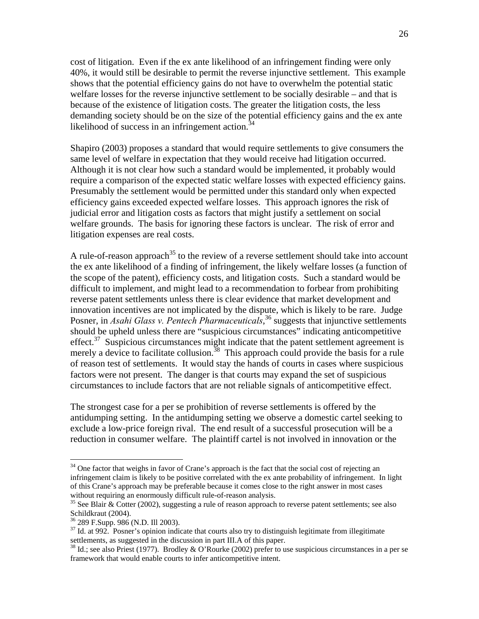cost of litigation. Even if the ex ante likelihood of an infringement finding were only 40%, it would still be desirable to permit the reverse injunctive settlement. This example shows that the potential efficiency gains do not have to overwhelm the potential static welfare losses for the reverse injunctive settlement to be socially desirable – and that is because of the existence of litigation costs. The greater the litigation costs, the less demanding society should be on the size of the potential efficiency gains and the ex ante likelihood of success in an infringement action. $34$ 

Shapiro (2003) proposes a standard that would require settlements to give consumers the same level of welfare in expectation that they would receive had litigation occurred. Although it is not clear how such a standard would be implemented, it probably would require a comparison of the expected static welfare losses with expected efficiency gains. Presumably the settlement would be permitted under this standard only when expected efficiency gains exceeded expected welfare losses. This approach ignores the risk of judicial error and litigation costs as factors that might justify a settlement on social welfare grounds. The basis for ignoring these factors is unclear. The risk of error and litigation expenses are real costs.

A rule-of-reason approach<sup>35</sup> to the review of a reverse settlement should take into account the ex ante likelihood of a finding of infringement, the likely welfare losses (a function of the scope of the patent), efficiency costs, and litigation costs. Such a standard would be difficult to implement, and might lead to a recommendation to forbear from prohibiting reverse patent settlements unless there is clear evidence that market development and innovation incentives are not implicated by the dispute, which is likely to be rare. Judge Posner, in *Asahi Glass v. Pentech Pharmaceuticals*,<sup>36</sup> suggests that injunctive settlements should be upheld unless there are "suspicious circumstances" indicating anticompetitive effect.<sup>37</sup> Suspicious circumstances might indicate that the patent settlement agreement is merely a device to facilitate collusion.<sup>38</sup> This approach could provide the basis for a rule of reason test of settlements. It would stay the hands of courts in cases where suspicious factors were not present. The danger is that courts may expand the set of suspicious circumstances to include factors that are not reliable signals of anticompetitive effect.

The strongest case for a per se prohibition of reverse settlements is offered by the antidumping setting. In the antidumping setting we observe a domestic cartel seeking to exclude a low-price foreign rival. The end result of a successful prosecution will be a reduction in consumer welfare. The plaintiff cartel is not involved in innovation or the

<sup>&</sup>lt;sup>34</sup> One factor that weighs in favor of Crane's approach is the fact that the social cost of rejecting an infringement claim is likely to be positive correlated with the ex ante probability of infringement. In light of this Crane's approach may be preferable because it comes close to the right answer in most cases without requiring an enormously difficult rule-of-reason analysis.

 $35$  See Blair & Cotter (2002), suggesting a rule of reason approach to reverse patent settlements; see also Schildkraut (2004).

<sup>36 289</sup> F.Supp. 986 (N.D. Ill 2003).

 $37$  Id. at 992. Posner's opinion indicate that courts also try to distinguish legitimate from illegitimate settlements, as suggested in the discussion in part III.A of this paper.

settlements, as suggested in the discussion in part II. framework that would enable courts to infer anticompetitive intent.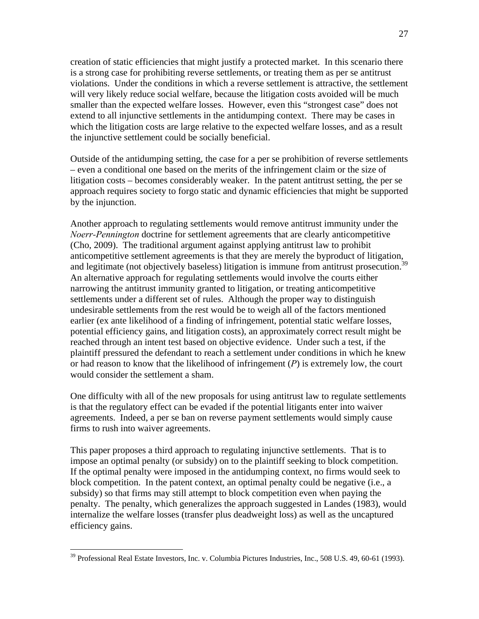creation of static efficiencies that might justify a protected market. In this scenario there is a strong case for prohibiting reverse settlements, or treating them as per se antitrust violations. Under the conditions in which a reverse settlement is attractive, the settlement will very likely reduce social welfare, because the litigation costs avoided will be much smaller than the expected welfare losses. However, even this "strongest case" does not extend to all injunctive settlements in the antidumping context. There may be cases in which the litigation costs are large relative to the expected welfare losses, and as a result the injunctive settlement could be socially beneficial.

Outside of the antidumping setting, the case for a per se prohibition of reverse settlements – even a conditional one based on the merits of the infringement claim or the size of litigation costs – becomes considerably weaker. In the patent antitrust setting, the per se approach requires society to forgo static and dynamic efficiencies that might be supported by the injunction.

Another approach to regulating settlements would remove antitrust immunity under the *Noerr-Pennington* doctrine for settlement agreements that are clearly anticompetitive (Cho, 2009). The traditional argument against applying antitrust law to prohibit anticompetitive settlement agreements is that they are merely the byproduct of litigation, and legitimate (not objectively baseless) litigation is immune from antitrust prosecution.<sup>39</sup> An alternative approach for regulating settlements would involve the courts either narrowing the antitrust immunity granted to litigation, or treating anticompetitive settlements under a different set of rules. Although the proper way to distinguish undesirable settlements from the rest would be to weigh all of the factors mentioned earlier (ex ante likelihood of a finding of infringement, potential static welfare losses, potential efficiency gains, and litigation costs), an approximately correct result might be reached through an intent test based on objective evidence. Under such a test, if the plaintiff pressured the defendant to reach a settlement under conditions in which he knew or had reason to know that the likelihood of infringement (*P*) is extremely low, the court would consider the settlement a sham.

One difficulty with all of the new proposals for using antitrust law to regulate settlements is that the regulatory effect can be evaded if the potential litigants enter into waiver agreements. Indeed, a per se ban on reverse payment settlements would simply cause firms to rush into waiver agreements.

This paper proposes a third approach to regulating injunctive settlements. That is to impose an optimal penalty (or subsidy) on to the plaintiff seeking to block competition. If the optimal penalty were imposed in the antidumping context, no firms would seek to block competition. In the patent context, an optimal penalty could be negative (i.e., a subsidy) so that firms may still attempt to block competition even when paying the penalty. The penalty, which generalizes the approach suggested in Landes (1983), would internalize the welfare losses (transfer plus deadweight loss) as well as the uncaptured efficiency gains.

<sup>&</sup>lt;sup>39</sup> Professional Real Estate Investors, Inc. v. Columbia Pictures Industries, Inc., 508 U.S. 49, 60-61 (1993).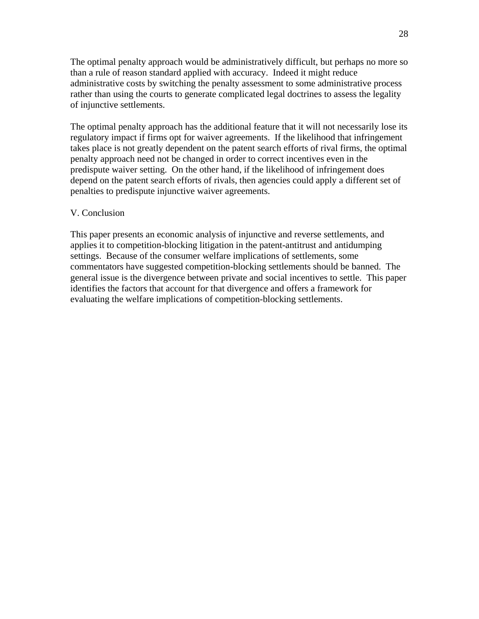The optimal penalty approach would be administratively difficult, but perhaps no more so than a rule of reason standard applied with accuracy. Indeed it might reduce administrative costs by switching the penalty assessment to some administrative process rather than using the courts to generate complicated legal doctrines to assess the legality of injunctive settlements.

The optimal penalty approach has the additional feature that it will not necessarily lose its regulatory impact if firms opt for waiver agreements. If the likelihood that infringement takes place is not greatly dependent on the patent search efforts of rival firms, the optimal penalty approach need not be changed in order to correct incentives even in the predispute waiver setting. On the other hand, if the likelihood of infringement does depend on the patent search efforts of rivals, then agencies could apply a different set of penalties to predispute injunctive waiver agreements.

#### V. Conclusion

This paper presents an economic analysis of injunctive and reverse settlements, and applies it to competition-blocking litigation in the patent-antitrust and antidumping settings. Because of the consumer welfare implications of settlements, some commentators have suggested competition-blocking settlements should be banned. The general issue is the divergence between private and social incentives to settle. This paper identifies the factors that account for that divergence and offers a framework for evaluating the welfare implications of competition-blocking settlements.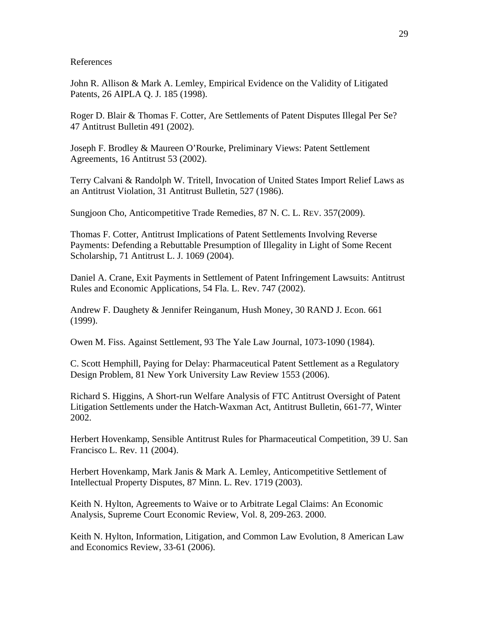References

John R. Allison & Mark A. Lemley, Empirical Evidence on the Validity of Litigated Patents, 26 AIPLA Q. J. 185 (1998).

Roger D. Blair & Thomas F. Cotter, Are Settlements of Patent Disputes Illegal Per Se? 47 Antitrust Bulletin 491 (2002).

Joseph F. Brodley & Maureen O'Rourke, Preliminary Views: Patent Settlement Agreements, 16 Antitrust 53 (2002).

Terry Calvani & Randolph W. Tritell, Invocation of United States Import Relief Laws as an Antitrust Violation, 31 Antitrust Bulletin, 527 (1986).

Sungjoon Cho, Anticompetitive Trade Remedies, 87 N. C. L. REV. 357(2009).

Thomas F. Cotter, Antitrust Implications of Patent Settlements Involving Reverse Payments: Defending a Rebuttable Presumption of Illegality in Light of Some Recent Scholarship, 71 Antitrust L. J. 1069 (2004).

Daniel A. Crane, Exit Payments in Settlement of Patent Infringement Lawsuits: Antitrust Rules and Economic Applications, 54 Fla. L. Rev. 747 (2002).

Andrew F. Daughety & Jennifer Reinganum, Hush Money, 30 RAND J. Econ. 661 (1999).

Owen M. Fiss. Against Settlement, 93 The Yale Law Journal, 1073-1090 (1984).

C. Scott Hemphill, Paying for Delay: Pharmaceutical Patent Settlement as a Regulatory Design Problem, 81 New York University Law Review 1553 (2006).

Richard S. Higgins, A Short-run Welfare Analysis of FTC Antitrust Oversight of Patent Litigation Settlements under the Hatch-Waxman Act, Antitrust Bulletin, 661-77, Winter 2002.

Herbert Hovenkamp, Sensible Antitrust Rules for Pharmaceutical Competition, 39 U. San Francisco L. Rev. 11 (2004).

Herbert Hovenkamp, Mark Janis & Mark A. Lemley, Anticompetitive Settlement of Intellectual Property Disputes, 87 Minn. L. Rev. 1719 (2003).

Keith N. Hylton, Agreements to Waive or to Arbitrate Legal Claims: An Economic Analysis, Supreme Court Economic Review, Vol. 8, 209-263. 2000.

Keith N. Hylton, Information, Litigation, and Common Law Evolution, 8 American Law and Economics Review, 33-61 (2006).